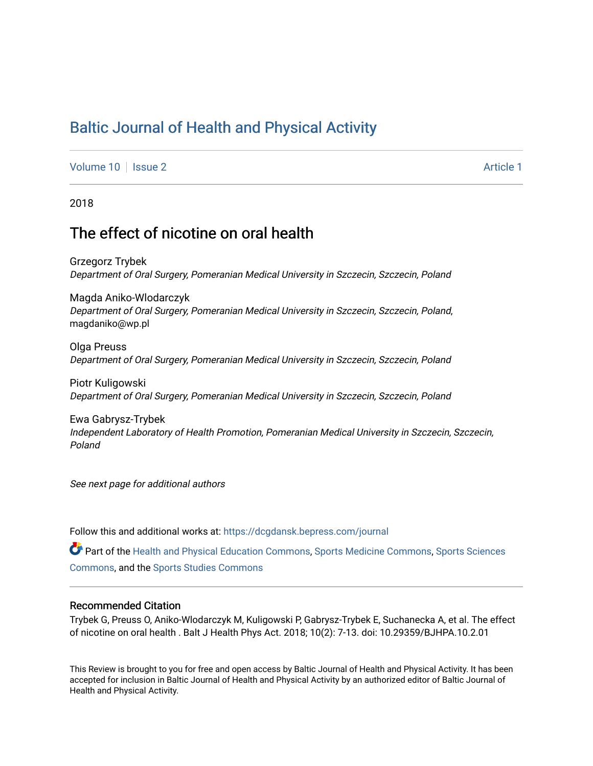# [Baltic Journal of Health and Physical Activity](https://dcgdansk.bepress.com/journal)

[Volume 10](https://dcgdansk.bepress.com/journal/vol10) | [Issue 2](https://dcgdansk.bepress.com/journal/vol10/iss2) Article 1

2018

# The effect of nicotine on oral health

Grzegorz Trybek Department of Oral Surgery, Pomeranian Medical University in Szczecin, Szczecin, Poland

Magda Aniko-Wlodarczyk Department of Oral Surgery, Pomeranian Medical University in Szczecin, Szczecin, Poland, magdaniko@wp.pl

Olga Preuss Department of Oral Surgery, Pomeranian Medical University in Szczecin, Szczecin, Poland

Piotr Kuligowski Department of Oral Surgery, Pomeranian Medical University in Szczecin, Szczecin, Poland

Ewa Gabrysz-Trybek Independent Laboratory of Health Promotion, Pomeranian Medical University in Szczecin, Szczecin, Poland

See next page for additional authors

Follow this and additional works at: [https://dcgdansk.bepress.com/journal](https://dcgdansk.bepress.com/journal?utm_source=dcgdansk.bepress.com%2Fjournal%2Fvol10%2Fiss2%2F1&utm_medium=PDF&utm_campaign=PDFCoverPages)

Part of the [Health and Physical Education Commons](http://network.bepress.com/hgg/discipline/1327?utm_source=dcgdansk.bepress.com%2Fjournal%2Fvol10%2Fiss2%2F1&utm_medium=PDF&utm_campaign=PDFCoverPages), [Sports Medicine Commons,](http://network.bepress.com/hgg/discipline/1331?utm_source=dcgdansk.bepress.com%2Fjournal%2Fvol10%2Fiss2%2F1&utm_medium=PDF&utm_campaign=PDFCoverPages) [Sports Sciences](http://network.bepress.com/hgg/discipline/759?utm_source=dcgdansk.bepress.com%2Fjournal%2Fvol10%2Fiss2%2F1&utm_medium=PDF&utm_campaign=PDFCoverPages) [Commons](http://network.bepress.com/hgg/discipline/759?utm_source=dcgdansk.bepress.com%2Fjournal%2Fvol10%2Fiss2%2F1&utm_medium=PDF&utm_campaign=PDFCoverPages), and the [Sports Studies Commons](http://network.bepress.com/hgg/discipline/1198?utm_source=dcgdansk.bepress.com%2Fjournal%2Fvol10%2Fiss2%2F1&utm_medium=PDF&utm_campaign=PDFCoverPages) 

#### Recommended Citation

Trybek G, Preuss O, Aniko-Wlodarczyk M, Kuligowski P, Gabrysz-Trybek E, Suchanecka A, et al. The effect of nicotine on oral health . Balt J Health Phys Act. 2018; 10(2): 7-13. doi: 10.29359/BJHPA.10.2.01

This Review is brought to you for free and open access by Baltic Journal of Health and Physical Activity. It has been accepted for inclusion in Baltic Journal of Health and Physical Activity by an authorized editor of Baltic Journal of Health and Physical Activity.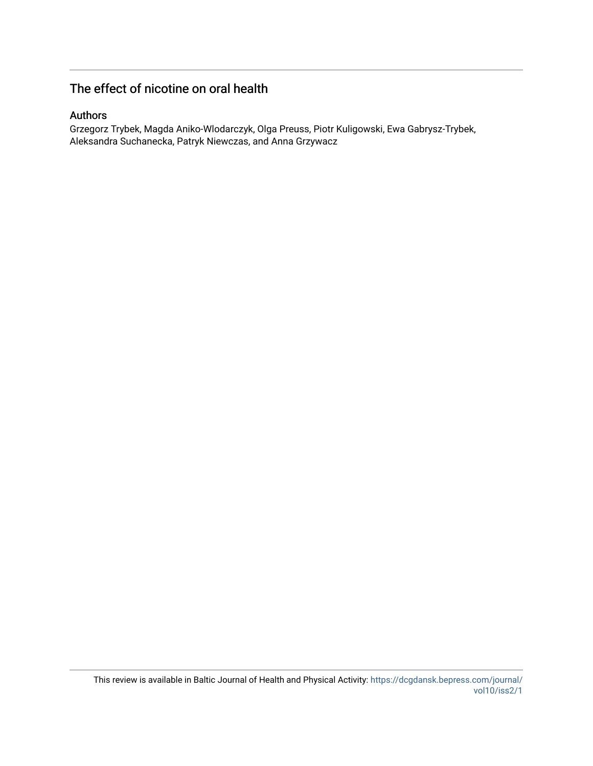# The effect of nicotine on oral health

### Authors

Grzegorz Trybek, Magda Aniko-Wlodarczyk, Olga Preuss, Piotr Kuligowski, Ewa Gabrysz-Trybek, Aleksandra Suchanecka, Patryk Niewczas, and Anna Grzywacz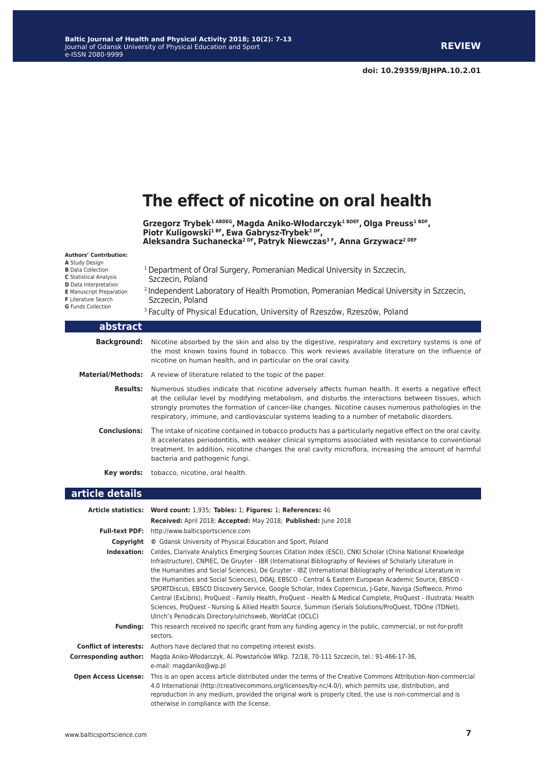

| Indexation: | Celdes, Clarivate Analytics Emerging Sources Citation Index (ESCI), CNKI Scholar (China National Knowledge                                                                                                                   |  |  |
|-------------|------------------------------------------------------------------------------------------------------------------------------------------------------------------------------------------------------------------------------|--|--|
|             | Infrastructure), CNPIEC, De Gruyter - IBR (International Bibliography of Reviews of Scholarly Literature in                                                                                                                  |  |  |
|             | the Humanities and Social Sciences), De Gruyter - IBZ (International Bibliography of Periodical Literature in                                                                                                                |  |  |
|             | the Humanities and Social Sciences), DOAJ, EBSCO - Central & Eastern European Academic Source, EBSCO -                                                                                                                       |  |  |
|             | SPORTDiscus, EBSCO Discovery Service, Google Scholar, Index Copernicus, J-Gate, Naviga (Softweco, Primo                                                                                                                      |  |  |
|             | Central (ExLibris), ProQuest - Family Health, ProQuest - Health & Medical Complete, ProQuest - Illustrata: Health<br>Sciences, ProQuest - Nursing & Allied Health Source, Summon (Serials Solutions/ProQuest, TDOne (TDNet), |  |  |
|             |                                                                                                                                                                                                                              |  |  |
|             | Ulrich's Periodicals Directory/ulrichsweb, WorldCat (OCLC)                                                                                                                                                                   |  |  |
| Fundina:    | This research received no specific grant from any funding agency in the public, commercial, or not-for-profit                                                                                                                |  |  |
|             | sectors.                                                                                                                                                                                                                     |  |  |

**Conflict of interests:** Authors have declared that no competing interest exists.

**Corresponding author:** Magda Aniko-Włodarczyk, Al. Powstańców Wlkp. 72/18, 70-111 Szczecin, tel.: 91-466-17-36, e-mail: magdaniko@wp.pl **Open Access License:** This is an open access article distributed under the terms of the Creative Commons Attribution-Non-commercial 4.0 International (http://creativecommons.org/licenses/by-nc/4.0/), which permits use, distribution, and reproduction in any medium, provided the original work is properly cited, the use is non-commercial and is otherwise in compliance with the license.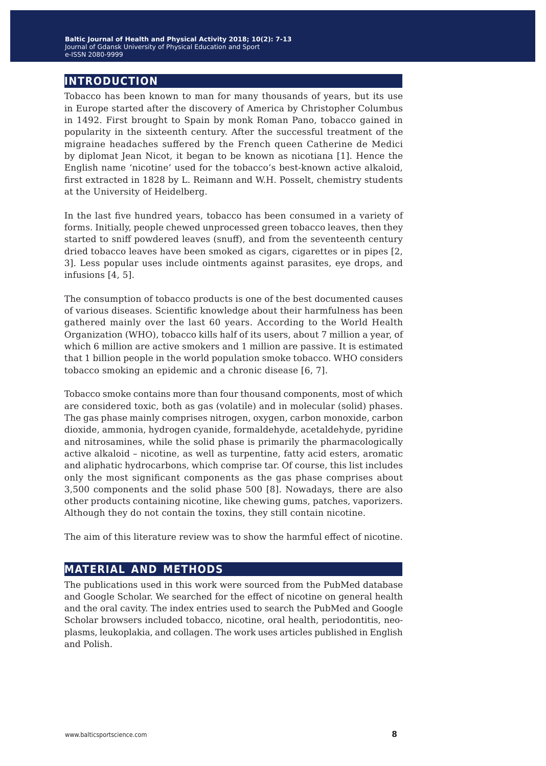# **introduction**

Tobacco has been known to man for many thousands of years, but its use in Europe started after the discovery of America by Christopher Columbus in 1492. First brought to Spain by monk Roman Pano, tobacco gained in popularity in the sixteenth century. After the successful treatment of the migraine headaches suffered by the French queen Catherine de Medici by diplomat Jean Nicot, it began to be known as nicotiana [1]. Hence the English name 'nicotine' used for the tobacco's best-known active alkaloid, first extracted in 1828 by L. Reimann and W.H. Posselt, chemistry students at the University of Heidelberg.

In the last five hundred years, tobacco has been consumed in a variety of forms. Initially, people chewed unprocessed green tobacco leaves, then they started to sniff powdered leaves (snuff), and from the seventeenth century dried tobacco leaves have been smoked as cigars, cigarettes or in pipes [2, 3]. Less popular uses include ointments against parasites, eye drops, and infusions [4, 5].

The consumption of tobacco products is one of the best documented causes of various diseases. Scientific knowledge about their harmfulness has been gathered mainly over the last 60 years. According to the World Health Organization (WHO), tobacco kills half of its users, about 7 million a year, of which 6 million are active smokers and 1 million are passive. It is estimated that 1 billion people in the world population smoke tobacco. WHO considers tobacco smoking an epidemic and a chronic disease [6, 7].

Tobacco smoke contains more than four thousand components, most of which are considered toxic, both as gas (volatile) and in molecular (solid) phases. The gas phase mainly comprises nitrogen, oxygen, carbon monoxide, carbon dioxide, ammonia, hydrogen cyanide, formaldehyde, acetaldehyde, pyridine and nitrosamines, while the solid phase is primarily the pharmacologically active alkaloid – nicotine, as well as turpentine, fatty acid esters, aromatic and aliphatic hydrocarbons, which comprise tar. Of course, this list includes only the most significant components as the gas phase comprises about 3,500 components and the solid phase 500 [8]. Nowadays, there are also other products containing nicotine, like chewing gums, patches, vaporizers. Although they do not contain the toxins, they still contain nicotine.

The aim of this literature review was to show the harmful effect of nicotine.

## **material and methods**

The publications used in this work were sourced from the PubMed database and Google Scholar. We searched for the effect of nicotine on general health and the oral cavity. The index entries used to search the PubMed and Google Scholar browsers included tobacco, nicotine, oral health, periodontitis, neoplasms, leukoplakia, and collagen. The work uses articles published in English and Polish.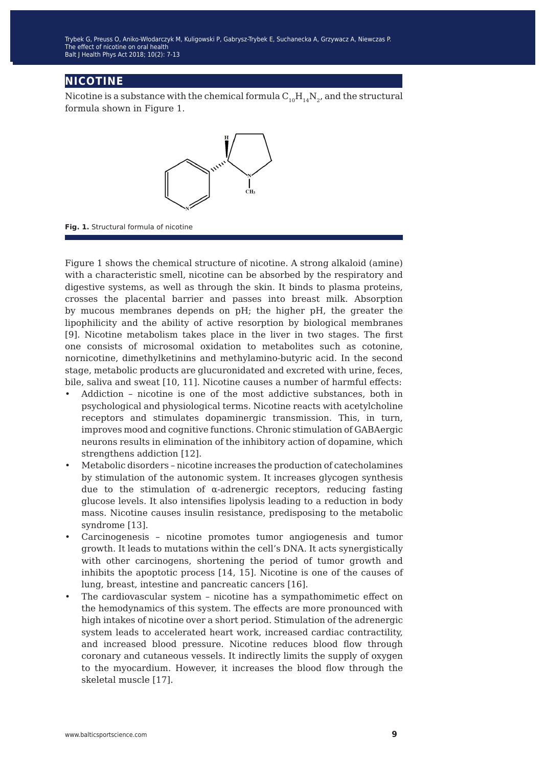## **nicotine**

Nicotine is a substance with the chemical formula  $C_{10}H_{14}N_{2}$ , and the structural formula shown in Figure 1.



**Fig. 1.** Structural formula of nicotine

Figure 1 shows the chemical structure of nicotine. A strong alkaloid (amine) with a characteristic smell, nicotine can be absorbed by the respiratory and digestive systems, as well as through the skin. It binds to plasma proteins, crosses the placental barrier and passes into breast milk. Absorption by mucous membranes depends on pH; the higher pH, the greater the lipophilicity and the ability of active resorption by biological membranes [9]. Nicotine metabolism takes place in the liver in two stages. The first one consists of microsomal oxidation to metabolites such as cotonine, nornicotine, dimethylketinins and methylamino-butyric acid. In the second stage, metabolic products are glucuronidated and excreted with urine, feces, bile, saliva and sweat [10, 11]. Nicotine causes a number of harmful effects:

- Addiction nicotine is one of the most addictive substances, both in psychological and physiological terms. Nicotine reacts with acetylcholine receptors and stimulates dopaminergic transmission. This, in turn, improves mood and cognitive functions. Chronic stimulation of GABAergic neurons results in elimination of the inhibitory action of dopamine, which strengthens addiction [12].
- Metabolic disorders nicotine increases the production of catecholamines by stimulation of the autonomic system. It increases glycogen synthesis due to the stimulation of  $\alpha$ -adrenergic receptors, reducing fasting glucose levels. It also intensifies lipolysis leading to a reduction in body mass. Nicotine causes insulin resistance, predisposing to the metabolic syndrome [13].
- Carcinogenesis nicotine promotes tumor angiogenesis and tumor growth. It leads to mutations within the cell's DNA. It acts synergistically with other carcinogens, shortening the period of tumor growth and inhibits the apoptotic process [14, 15]. Nicotine is one of the causes of lung, breast, intestine and pancreatic cancers [16].
- The cardiovascular system nicotine has a sympathomimetic effect on the hemodynamics of this system. The effects are more pronounced with high intakes of nicotine over a short period. Stimulation of the adrenergic system leads to accelerated heart work, increased cardiac contractility, and increased blood pressure. Nicotine reduces blood flow through coronary and cutaneous vessels. It indirectly limits the supply of oxygen to the myocardium. However, it increases the blood flow through the skeletal muscle [17].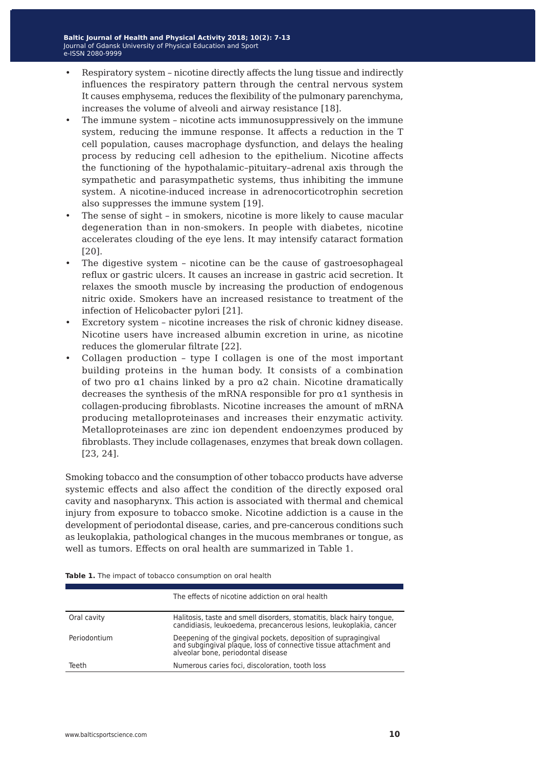- Respiratory system nicotine directly affects the lung tissue and indirectly influences the respiratory pattern through the central nervous system It causes emphysema, reduces the flexibility of the pulmonary parenchyma, increases the volume of alveoli and airway resistance [18].
- The immune system nicotine acts immunosuppressively on the immune system, reducing the immune response. It affects a reduction in the T cell population, causes macrophage dysfunction, and delays the healing process by reducing cell adhesion to the epithelium. Nicotine affects the functioning of the hypothalamic–pituitary–adrenal axis through the sympathetic and parasympathetic systems, thus inhibiting the immune system. A nicotine-induced increase in adrenocorticotrophin secretion also suppresses the immune system [19].
- The sense of sight in smokers, nicotine is more likely to cause macular degeneration than in non-smokers. In people with diabetes, nicotine accelerates clouding of the eye lens. It may intensify cataract formation [20].
- The digestive system nicotine can be the cause of gastroesophageal reflux or gastric ulcers. It causes an increase in gastric acid secretion. It relaxes the smooth muscle by increasing the production of endogenous nitric oxide. Smokers have an increased resistance to treatment of the infection of Helicobacter pylori [21].
- Excretory system nicotine increases the risk of chronic kidney disease. Nicotine users have increased albumin excretion in urine, as nicotine reduces the glomerular filtrate [22].
- Collagen production type I collagen is one of the most important building proteins in the human body. It consists of a combination of two pro  $\alpha$ 1 chains linked by a pro  $\alpha$ 2 chain. Nicotine dramatically decreases the synthesis of the mRNA responsible for pro  $\alpha$ 1 synthesis in collagen-producing fibroblasts. Nicotine increases the amount of mRNA producing metalloproteinases and increases their enzymatic activity. Metalloproteinases are zinc ion dependent endoenzymes produced by fibroblasts. They include collagenases, enzymes that break down collagen. [23, 24].

Smoking tobacco and the consumption of other tobacco products have adverse systemic effects and also affect the condition of the directly exposed oral cavity and nasopharynx. This action is associated with thermal and chemical injury from exposure to tobacco smoke. Nicotine addiction is a cause in the development of periodontal disease, caries, and pre-cancerous conditions such as leukoplakia, pathological changes in the mucous membranes or tongue, as well as tumors. Effects on oral health are summarized in Table 1.

|              | The effects of nicotine addiction on oral health                                                                                                                         |
|--------------|--------------------------------------------------------------------------------------------------------------------------------------------------------------------------|
| Oral cavity  | Halitosis, taste and smell disorders, stomatitis, black hairy tongue,<br>candidiasis, leukoedema, precancerous lesions, leukoplakia, cancer                              |
| Periodontium | Deepening of the gingival pockets, deposition of supragingival<br>and subgingival plaque, loss of connective tissue attachment and<br>alveolar bone, periodontal disease |
| Teeth        | Numerous caries foci, discoloration, tooth loss                                                                                                                          |

**Table 1.** The impact of tobacco consumption on oral health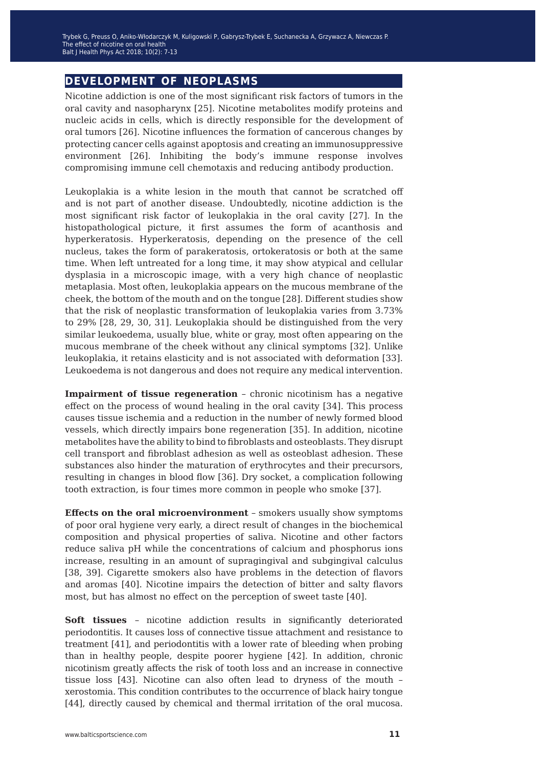## **development of neoplasms**

Nicotine addiction is one of the most significant risk factors of tumors in the oral cavity and nasopharynx [25]. Nicotine metabolites modify proteins and nucleic acids in cells, which is directly responsible for the development of oral tumors [26]. Nicotine influences the formation of cancerous changes by protecting cancer cells against apoptosis and creating an immunosuppressive environment [26]. Inhibiting the body's immune response involves compromising immune cell chemotaxis and reducing antibody production.

Leukoplakia is a white lesion in the mouth that cannot be scratched off and is not part of another disease. Undoubtedly, nicotine addiction is the most significant risk factor of leukoplakia in the oral cavity [27]. In the histopathological picture, it first assumes the form of acanthosis and hyperkeratosis. Hyperkeratosis, depending on the presence of the cell nucleus, takes the form of parakeratosis, ortokeratosis or both at the same time. When left untreated for a long time, it may show atypical and cellular dysplasia in a microscopic image, with a very high chance of neoplastic metaplasia. Most often, leukoplakia appears on the mucous membrane of the cheek, the bottom of the mouth and on the tongue [28]. Different studies show that the risk of neoplastic transformation of leukoplakia varies from 3.73% to 29% [28, 29, 30, 31]. Leukoplakia should be distinguished from the very similar leukoedema, usually blue, white or gray, most often appearing on the mucous membrane of the cheek without any clinical symptoms [32]. Unlike leukoplakia, it retains elasticity and is not associated with deformation [33]. Leukoedema is not dangerous and does not require any medical intervention.

**Impairment of tissue regeneration** – chronic nicotinism has a negative effect on the process of wound healing in the oral cavity [34]. This process causes tissue ischemia and a reduction in the number of newly formed blood vessels, which directly impairs bone regeneration [35]. In addition, nicotine metabolites have the ability to bind to fibroblasts and osteoblasts. They disrupt cell transport and fibroblast adhesion as well as osteoblast adhesion. These substances also hinder the maturation of erythrocytes and their precursors, resulting in changes in blood flow [36]. Dry socket, a complication following tooth extraction, is four times more common in people who smoke [37].

**Effects on the oral microenvironment** – smokers usually show symptoms of poor oral hygiene very early, a direct result of changes in the biochemical composition and physical properties of saliva. Nicotine and other factors reduce saliva pH while the concentrations of calcium and phosphorus ions increase, resulting in an amount of supragingival and subgingival calculus [38, 39]. Cigarette smokers also have problems in the detection of flavors and aromas [40]. Nicotine impairs the detection of bitter and salty flavors most, but has almost no effect on the perception of sweet taste [40].

**Soft tissues** – nicotine addiction results in significantly deteriorated periodontitis. It causes loss of connective tissue attachment and resistance to treatment [41], and periodontitis with a lower rate of bleeding when probing than in healthy people, despite poorer hygiene [42]. In addition, chronic nicotinism greatly affects the risk of tooth loss and an increase in connective tissue loss [43]. Nicotine can also often lead to dryness of the mouth – xerostomia. This condition contributes to the occurrence of black hairy tongue [44], directly caused by chemical and thermal irritation of the oral mucosa.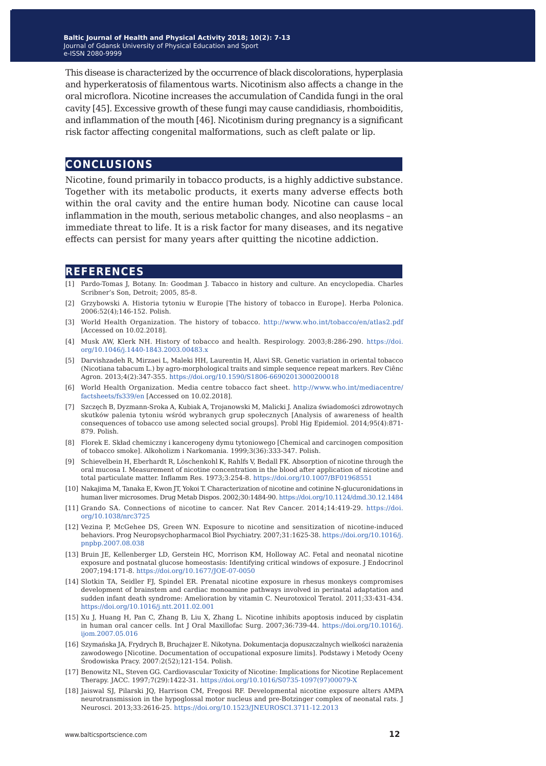This disease is characterized by the occurrence of black discolorations, hyperplasia and hyperkeratosis of filamentous warts. Nicotinism also affects a change in the oral microflora. Nicotine increases the accumulation of Candida fungi in the oral cavity [45]. Excessive growth of these fungi may cause candidiasis, rhomboiditis, and inflammation of the mouth [46]. Nicotinism during pregnancy is a significant risk factor affecting congenital malformations, such as cleft palate or lip.

#### **conclusions**

Nicotine, found primarily in tobacco products, is a highly addictive substance. Together with its metabolic products, it exerts many adverse effects both within the oral cavity and the entire human body. Nicotine can cause local inflammation in the mouth, serious metabolic changes, and also neoplasms – an immediate threat to life. It is a risk factor for many diseases, and its negative effects can persist for many years after quitting the nicotine addiction.

#### **references**

- [1] Pardo-Tomas J, Botany. In: Goodman J. Tabacco in history and culture. An encyclopedia. Charles Scribner's Son, Detroit; 2005, 85-8.
- [2] Grzybowski A. Historia tytoniu w Europie [The history of tobacco in Europe]. Herba Polonica. 2006:52(4);146-152. Polish.
- [3] World Health Organization. The history of tobacco. [http://www.who.int/tobacco/en/atlas2.pdf](https://doi.org/10.1046/j.1440-1843.2003.00483.x)  [Accessed on 10.02.2018].
- [4] Musk AW, Klerk NH. History of tobacco and health. Respirology. 2003;8:286-290. [https://doi.](https://doi.org/10.1046/j.1440-1843.2003.00483.x) [org/10.1046/j.1440-1843.2003.00483.x](https://doi.org/10.1046/j.1440-1843.2003.00483.x)
- [5] Darvishzadeh R, Mirzaei L, Maleki HH, Laurentin H, Alavi SR. Genetic variation in oriental tobacco (Nicotiana tabacum L.) by agro-morphological traits and simple sequence repeat markers. Rev Ciênc Agron. 2013;4(2):347-355. <https://doi.org/10.1590/S1806-66902013000200018>
- [6] World Health Organization. Media centre tobacco fact sheet. [http://www.who.int/mediacentre/](https://doi.org/10.1590/S1806-66902013000200018) [factsheets/fs339/en](https://doi.org/10.1590/S1806-66902013000200018) [Accessed on 10.02.2018].
- [7] Szczęch B, Dyzmann-Sroka A, Kubiak A, Trojanowski M, Malicki J. Analiza świadomości zdrowotnych skutków palenia tytoniu wśród wybranych grup społecznych [Analysis of awareness of health consequences of tobacco use among selected social groups]. Probl Hig Epidemiol. 2014;95(4):871- 879. Polish.
- [8] Florek E. Skład chemiczny i kancerogeny dymu tytoniowego [Chemical and carcinogen composition of tobacco smoke]. Alkoholizm i Narkomania. 1999;3(36):333-347. Polish.
- [9] Schievelbein H, Eberhardt R, Löschenkohl K, Rahlfs V, Bedall FK. Absorption of nicotine through the oral mucosa I. Measurement of nicotine concentration in the blood after application of nicotine and total particulate matter. Inflamm Res. 1973;3:254-8.<https://doi.org/10.1007/BF01968551>
- [10] Nakajima M, Tanaka E, Kwon JT, Yokoi T. Characterization of nicotine and cotinine N-glucuronidations in human liver microsomes. Drug Metab Dispos. 2002;30:1484-90.<https://doi.org/10.1124/dmd.30.12.1484>
- [11] Grando SA. Connections of nicotine to cancer. Nat Rev Cancer. 2014;14:419-29. [https://doi.](https://doi.org/10.1038/nrc3725) [org/10.1038/nrc3725](https://doi.org/10.1038/nrc3725)
- [12] Vezina P, McGehee DS, Green WN. Exposure to nicotine and sensitization of nicotine-induced behaviors. Prog Neuropsychopharmacol Biol Psychiatry. 2007;31:1625-38. [https://doi.org/10.1016/j.](https://doi.org/10.1016/j.pnpbp.2007.08.038) [pnpbp.2007.08.038](https://doi.org/10.1016/j.pnpbp.2007.08.038)
- [13] Bruin JE, Kellenberger LD, Gerstein HC, Morrison KM, Holloway AC. Fetal and neonatal nicotine exposure and postnatal glucose homeostasis: Identifying critical windows of exposure. J Endocrinol 2007;194:171-8. <https://doi.org/10.1677/JOE-07-0050>
- [14] Slotkin TA, Seidler FJ, Spindel ER. Prenatal nicotine exposure in rhesus monkeys compromises development of brainstem and cardiac monoamine pathways involved in perinatal adaptation and sudden infant death syndrome: Amelioration by vitamin C. Neurotoxicol Teratol. 2011;33:431-434. <https://doi.org/10.1016/j.ntt.2011.02.001>
- [15] Xu J, Huang H, Pan C, Zhang B, Liu X, Zhang L. Nicotine inhibits apoptosis induced by cisplatin in human oral cancer cells. Int J Oral Maxillofac Surg. 2007;36:739-44. [https://doi.org/10.1016/j.](https://doi.org/10.1016/j.ijom.2007.05.016) [ijom.2007.05.016](https://doi.org/10.1016/j.ijom.2007.05.016)
- [16] Szymańska JA, Frydrych B, Bruchajzer E. Nikotyna. Dokumentacja dopuszczalnych wielkości narażenia zawodowego [Nicotine. Documentation of occupational exposure limits]. Podstawy i Metody Oceny Środowiska Pracy. 2007:2(52);121-154. Polish.
- [17] Benowitz NL, Steven GG. Cardiovascular Toxicity of Nicotine: Implications for Nicotine Replacement Therapy. JACC. 1997;7(29):1422-31. [https://doi.org/10.1016/S0735-1097\(97\)00079-X](https://doi.org/10.1016/S0735-1097(97)00079-X)
- [18] Jaiswal SJ, Pilarski JQ, Harrison CM, Fregosi RF. Developmental nicotine exposure alters AMPA neurotransmission in the hypoglossal motor nucleus and pre-Botzinger complex of neonatal rats. J Neurosci. 2013;33:2616-25. <https://doi.org/10.1523/JNEUROSCI.3711-12.2013>